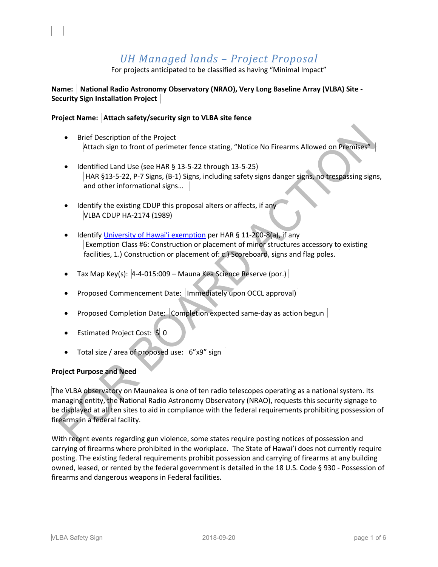# *UH Managed lands – Project Proposal*

For projects anticipated to be classified as having "Minimal Impact" |

## **Name: National Radio Astronomy Observatory (NRAO), Very Long Baseline Array (VLBA) Site - Security Sign Installation Project**

## **Project Name: Attach safety/security sign to VLBA site fence**

- Brief Description of the Project Attach sign to front of perimeter fence stating, "Notice No Firearms Allowed on Premises"
- Identified Land Use (see HAR § 13-5-22 through 13-5-25) HAR §13-5-22, P-7 Signs, (B-1) Signs, including safety signs danger signs, no trespassing signs, and other informational signs…
- Identify the existing CDUP this proposal alters or affects, if any VLBA CDUP HA-2174 (1989)
- Identify [University of Hawai'i](http://oeqc2.doh.hawaii.gov/_layouts/15/start.aspx#/Agency_Exemption_Lists/Forms/AllItems.aspx) exemption per HAR § 11-200-8(a), if any Exemption Class #6: Construction or placement of minor structures accessory to existing facilities, 1.) Construction or placement of: c.) Scoreboard, signs and flag poles.
- Tax Map Key(s): 4-4-015:009 Mauna Kea Science Reserve (por.)
- Proposed Commencement Date: | Immediately upon OCCL approval) |
- Proposed Completion Date: Completion expected same-day as action begun
- Estimated Project Cost: \$ 0
- Total size / area of proposed use: 6"x9" sign

## **Project Purpose and Need**

l,

The VLBA observatory on Maunakea is one of ten radio telescopes operating as a national system. Its managing entity, the National Radio Astronomy Observatory (NRAO), requests this security signage to be displayed at all ten sites to aid in compliance with the federal requirements prohibiting possession of firearms in a federal facility.

With recent events regarding gun violence, some states require posting notices of possession and carrying of firearms where prohibited in the workplace. The State of Hawai'i does not currently require posting. The existing federal requirements prohibit possession and carrying of firearms at any building owned, leased, or rented by the federal government is detailed in the 18 U.S. Code § 930 - Possession of firearms and dangerous weapons in Federal facilities.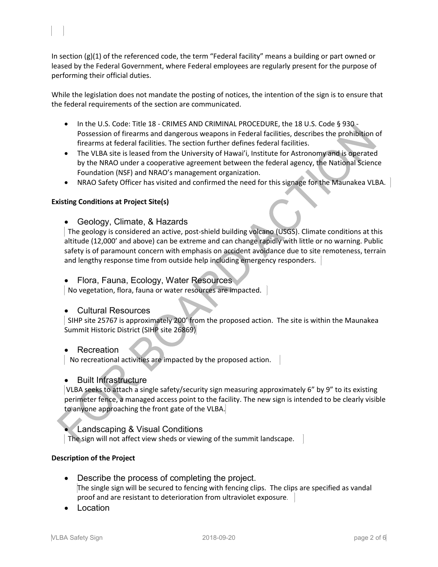In section (g)(1) of the referenced code, the term "Federal facility" means a building or part owned or leased by the Federal Government, where Federal employees are regularly present for the purpose of performing their official duties.

While the legislation does not mandate the posting of notices, the intention of the sign is to ensure that the federal requirements of the section are communicated.

- In the U.S. Code: Title 18 CRIMES AND CRIMINAL PROCEDURE, the 18 U.S. Code § 930 -Possession of firearms and dangerous weapons in Federal facilities, describes the prohibition of firearms at federal facilities. The section further defines federal facilities.
- The VLBA site is leased from the University of Hawai'i, Institute for Astronomy and is operated by the NRAO under a cooperative agreement between the federal agency, th[e National Science](http://www.nsf.gov/)  [Foundation](http://www.nsf.gov/) (NSF) and NRAO's management organization.
- NRAO Safety Officer has visited and confirmed the need for this signage for the Maunakea VLBA.

## **Existing Conditions at Project Site(s)**

l,

• Geology, Climate, & Hazards

 The geology is considered an active, post-shield building volcano (USGS). Climate conditions at this altitude (12,000' and above) can be extreme and can change rapidly with little or no warning. Public safety is of paramount concern with emphasis on accident avoidance due to site remoteness, terrain and lengthy response time from outside help including emergency responders.

• Flora, Fauna, Ecology, Water Resources

No vegetation, flora, fauna or water resources are impacted.

## • Cultural Resources

 SIHP site 25767 is approximately 200' from the proposed action. The site is within the Maunakea Summit Historic District (SIHP site 26869)

## • Recreation

No recreational activities are impacted by the proposed action.

## • Built Infrastructure

VLBA seeks to attach a single safety/security sign measuring approximately 6" by 9" to its existing perimeter fence, a managed access point to the facility. The new sign is intended to be clearly visible to anyone approaching the front gate of the VLBA.

## • Landscaping & Visual Conditions

The sign will not affect view sheds or viewing of the summit landscape.

## **Description of the Project**

- Describe the process of completing the project. The single sign will be secured to fencing with fencing clips. The clips are specified as vandal proof and are resistant to deterioration from ultraviolet exposure.
- **Location**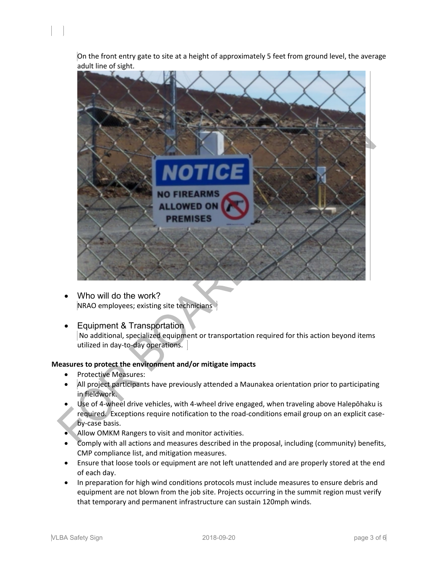On the front entry gate to site at a height of approximately 5 feet from ground level, the average adult line of sight.



- Who will do the work? NRAO employees; existing site technicians
- Equipment & Transportation No additional, specialized equipment or transportation required for this action beyond items utilized in day-to-day operations.

## **Measures to protect the environment and/or mitigate impacts**

• Protective Measures:

l,

- All project participants have previously attended a Maunakea orientation prior to participating in fieldwork.
- Use of 4-wheel drive vehicles, with 4-wheel drive engaged, when traveling above Halepōhaku is required. Exceptions require notification to the road-conditions email group on an explicit caseby-case basis.
- Allow OMKM Rangers to visit and monitor activities.
- Comply with all actions and measures described in the proposal, including (community) benefits, CMP compliance list, and mitigation measures.
- Ensure that loose tools or equipment are not left unattended and are properly stored at the end of each day.
- In preparation for high wind conditions protocols must include measures to ensure debris and equipment are not blown from the job site. Projects occurring in the summit region must verify that temporary and permanent infrastructure can sustain 120mph winds.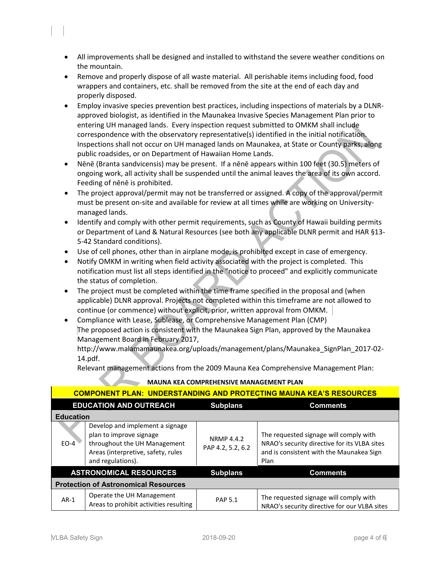- All improvements shall be designed and installed to withstand the severe weather conditions on the mountain.
- Remove and properly dispose of all waste material. All perishable items including food, food wrappers and containers, etc. shall be removed from the site at the end of each day and properly disposed.
- Employ invasive species prevention best practices, including inspections of materials by a DLNRapproved biologist, as identified in the Maunakea Invasive Species Management Plan prior to entering UH managed lands. Every inspection request submitted to OMKM shall include correspondence with the observatory representative(s) identified in the initial notification. Inspections shall not occur on UH managed lands on Maunakea, at State or County parks, along public roadsides, or on Department of Hawaiian Home Lands.
- Nēnē (Branta sandvicensis) may be present. If a nēnē appears within 100 feet (30.5) meters of ongoing work, all activity shall be suspended until the animal leaves the area of its own accord. Feeding of nēnē is prohibited.
- The project approval/permit may not be transferred or assigned. A copy of the approval/permit must be present on-site and available for review at all times while are working on Universitymanaged lands.
- Identify and comply with other permit requirements, such as County of Hawaii building permits or Department of Land & Natural Resources (see both any applicable DLNR permit and HAR §13- 5-42 Standard conditions).
- Use of cell phones, other than in airplane mode, is prohibited except in case of emergency.
- Notify OMKM in writing when field activity associated with the project is completed. This notification must list all steps identified in the "notice to proceed" and explicitly communicate the status of completion.
- The project must be completed within the time frame specified in the proposal and (when applicable) DLNR approval. Projects not completed within this timeframe are not allowed to continue (or commence) without explicit, prior, written approval from OMKM.
- Compliance with Lease, Sublease, or Comprehensive Management Plan (CMP) The proposed action is consistent with the Maunakea Sign Plan, approved by the Maunakea Management Board in February 2017,

http://www.malamamaunakea.org/uploads/management/plans/Maunakea\_SignPlan\_2017-02- 14.pdf.

Relevant management actions from the 2009 Mauna Kea Comprehensive Management Plan:

| <b>COMPONENT PLAN: UNDERSTANDING AND PROTECTING MAUNA KEA'S RESOURCES</b> |                                                                                                                                                       |                                        |                                                                                                                                            |  |  |
|---------------------------------------------------------------------------|-------------------------------------------------------------------------------------------------------------------------------------------------------|----------------------------------------|--------------------------------------------------------------------------------------------------------------------------------------------|--|--|
| <b>EDUCATION AND OUTREACH</b>                                             |                                                                                                                                                       | <b>Subplans</b>                        | <b>Comments</b>                                                                                                                            |  |  |
| <b>Education</b>                                                          |                                                                                                                                                       |                                        |                                                                                                                                            |  |  |
| $FO-4$                                                                    | Develop and implement a signage<br>plan to improve signage<br>throughout the UH Management<br>Areas (interpretive, safety, rules<br>and regulations). | <b>NRMP 4.4.2</b><br>PAP 4.2, 5.2, 6.2 | The requested signage will comply with<br>NRAO's security directive for its VLBA sites<br>and is consistent with the Maunakea Sign<br>Plan |  |  |
| <b>ASTRONOMICAL RESOURCES</b>                                             |                                                                                                                                                       | <b>Subplans</b>                        | <b>Comments</b>                                                                                                                            |  |  |
| <b>Protection of Astronomical Resources</b>                               |                                                                                                                                                       |                                        |                                                                                                                                            |  |  |
| $AR-1$                                                                    | Operate the UH Management<br>Areas to prohibit activities resulting                                                                                   | <b>PAP 5.1</b>                         | The requested signage will comply with<br>NRAO's security directive for our VLBA sites                                                     |  |  |

## **MAUNA KEA COMPREHENSIVE MANAGEMENT PLAN**

l,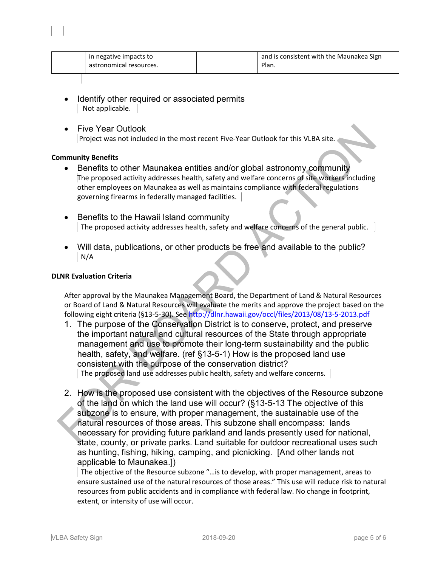| in negative impacts to<br>astronomical resources. |  | and is consistent with the Maunakea Sign<br>Plan. |
|---------------------------------------------------|--|---------------------------------------------------|
|---------------------------------------------------|--|---------------------------------------------------|

- Identify other required or associated permits Not applicable.
- Five Year Outlook Project was not included in the most recent Five-Year Outlook for this VLBA site.

## **Community Benefits**

l,

- Benefits to other Maunakea entities and/or global astronomy community The proposed activity addresses health, safety and welfare concerns of site workers including other employees on Maunakea as well as maintains compliance with federal regulations governing firearms in federally managed facilities.
- Benefits to the Hawaii Island community The proposed activity addresses health, safety and welfare concerns of the general public.
- Will data, publications, or other products be free and available to the public? N/A

## **DLNR Evaluation Criteria**

After approval by the Maunakea Management Board, the Department of Land & Natural Resources or Board of Land & Natural Resources will evaluate the merits and approve the project based on the following eight criteria (§13-5-30). See<http://dlnr.hawaii.gov/occl/files/2013/08/13-5-2013.pdf>

- 1. The purpose of the Conservation District is to conserve, protect, and preserve the important natural and cultural resources of the State through appropriate management and use to promote their long-term sustainability and the public health, safety, and welfare. (ref §13-5-1) How is the proposed land use consistent with the purpose of the conservation district? The proposed land use addresses public health, safety and welfare concerns.
- 2. How is the proposed use consistent with the objectives of the Resource subzone of the land on which the land use will occur? (§13-5-13 The objective of this subzone is to ensure, with proper management, the sustainable use of the natural resources of those areas. This subzone shall encompass: lands necessary for providing future parkland and lands presently used for national, state, county, or private parks. Land suitable for outdoor recreational uses such as hunting, fishing, hiking, camping, and picnicking. [And other lands not applicable to Maunakea.])

The objective of the Resource subzone "…is to develop, with proper management, areas to ensure sustained use of the natural resources of those areas." This use will reduce risk to natural resources from public accidents and in compliance with federal law. No change in footprint, extent, or intensity of use will occur.